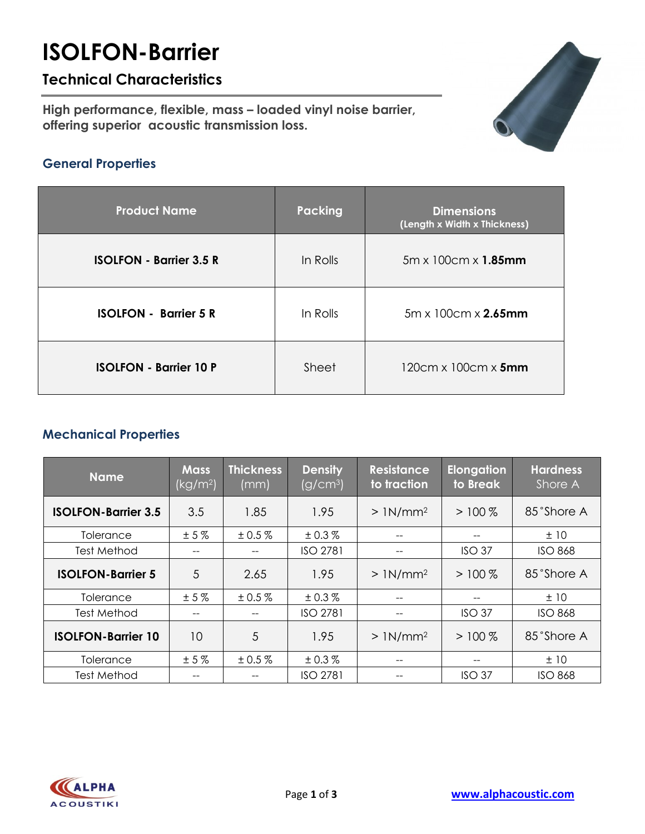# **ISOLFON-Barrier**

## **Technical Characteristics**

**High performance, flexible, mass – loaded vinyl noise barrier, offering superior acoustic transmission loss.**



### **General Properties**

| <b>Product Name</b>            | Packing  | <b>Dimensions</b><br>(Length x Width x Thickness) |
|--------------------------------|----------|---------------------------------------------------|
| <b>ISOLFON - Barrier 3.5 R</b> | In Rolls | $5m \times 100cm \times 1.85mm$                   |
| <b>ISOLFON - Barrier 5 R</b>   | In Rolls | $5m \times 100cm \times 2.65mm$                   |
| <b>ISOLFON - Barrier 10 P</b>  | Sheet    | $120cm \times 100cm \times 5mm$                   |

### **Mechanical Properties**

| <b>Name</b>                | <b>Mass</b><br>(kg/m <sup>2</sup> ) | <b>Thickness</b><br>(mm) | <b>Density</b><br>(g/cm <sup>3</sup> ) | <b>Resistance</b><br>to traction | <b>Elongation</b><br>to Break | <b>Hardness</b><br>Shore A |
|----------------------------|-------------------------------------|--------------------------|----------------------------------------|----------------------------------|-------------------------------|----------------------------|
| <b>ISOLFON-Barrier 3.5</b> | 3.5                                 | 1.85                     | 1.95                                   | $>1N/mm^2$                       | $>100\%$                      | 85°Shore A                 |
| Tolerance                  | ±5%                                 | ± 0.5 %                  | ± 0.3 %                                | --                               |                               | ±10                        |
| Test Method                | --                                  |                          | <b>ISO 2781</b>                        | --                               | ISO <sub>37</sub>             | <b>ISO 868</b>             |
| <b>ISOLFON-Barrier 5</b>   | 5                                   | 2.65                     | 1.95                                   | $>1N/mm^2$                       | $>100\%$                      | 85°Shore A                 |
| Tolerance                  | ±5%                                 | ± 0.5 %                  | ± 0.3 %                                |                                  |                               | ±10                        |
| Test Method                | --                                  |                          | <b>ISO 2781</b>                        | --                               | ISO <sub>37</sub>             | <b>ISO 868</b>             |
| <b>ISOLFON-Barrier 10</b>  | 10                                  | 5                        | 1.95                                   | $>1N/mm^2$                       | $>100\%$                      | 85°Shore A                 |
| Tolerance                  | ±5%                                 | ± 0.5 %                  | ± 0.3 %                                |                                  |                               | ±10                        |
| Test Method                | --                                  | --                       | <b>ISO 2781</b>                        | --                               | ISO <sub>37</sub>             | <b>ISO 868</b>             |

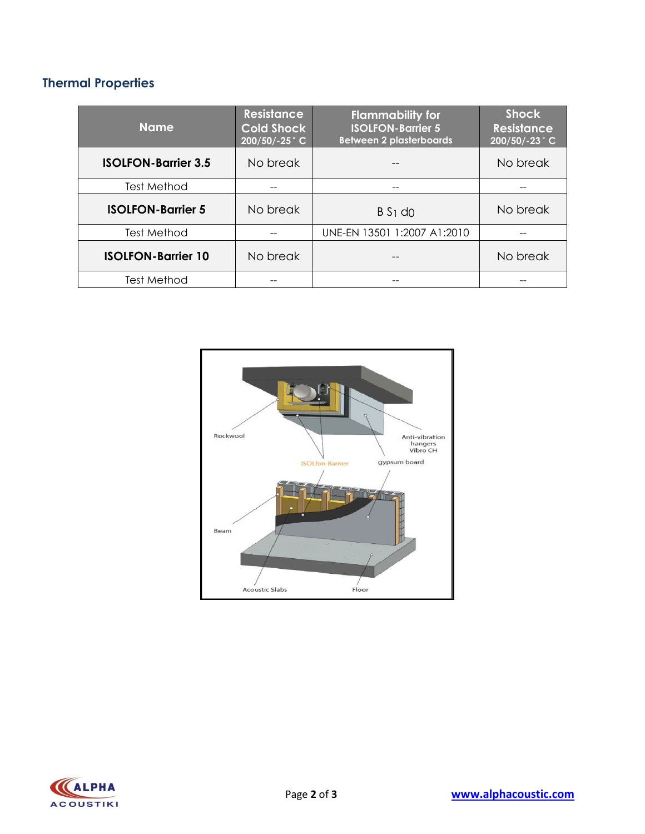# **Thermal Properties**

| Name.                      | <b>Resistance</b><br><b>Cold Shock</b><br>200/50/-25°C | <b>Flammability for</b><br><b>ISOLFON-Barrier 5</b><br><b>Between 2 plasterboards</b> | <b>Shock</b><br><b>Resistance</b><br>200/50/-23°C |  |
|----------------------------|--------------------------------------------------------|---------------------------------------------------------------------------------------|---------------------------------------------------|--|
| <b>ISOLFON-Barrier 3.5</b> | No break                                               |                                                                                       | No break                                          |  |
| Test Method                |                                                        |                                                                                       |                                                   |  |
| <b>ISOLFON-Barrier 5</b>   | No break                                               | $B S1$ d <sub>0</sub>                                                                 | No break                                          |  |
| <b>Test Method</b>         |                                                        | UNE-EN 13501 1:2007 A1:2010                                                           |                                                   |  |
| <b>ISOLFON-Barrier 10</b>  | No break                                               |                                                                                       | No break                                          |  |
| Test Method                |                                                        |                                                                                       |                                                   |  |